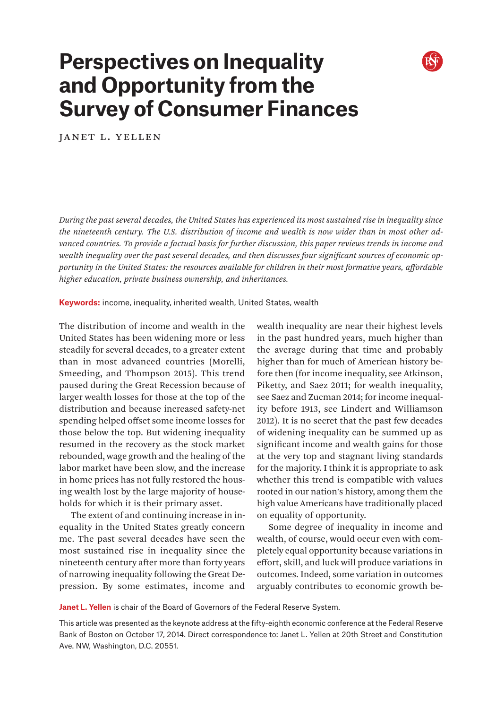# **Perspectives on Inequality and Opportunity from the Survey of Consumer Finances**

Janet L. Yellen

*During the past several decades, the United States has experienced its most sustained rise in inequality since the nineteenth century. The U.S. distribution of income and wealth is now wider than in most other advanced countries. To provide a factual basis for further discussion, this paper reviews trends in income and wealth inequality over the past several decades, and then discusses four significant sources of economic opportunity in the United States: the resources available for children in their most formative years, affordable higher education, private business ownership, and inheritances.*

**Keywords:** income, inequality, inherited wealth, United States, wealth

The distribution of income and wealth in the United States has been widening more or less steadily for several decades, to a greater extent than in most advanced countries (Morelli, Smeeding, and Thompson 2015). This trend paused during the Great Recession because of larger wealth losses for those at the top of the distribution and because increased safety-net spending helped offset some income losses for those below the top. But widening inequality resumed in the recovery as the stock market rebounded, wage growth and the healing of the labor market have been slow, and the increase in home prices has not fully restored the housing wealth lost by the large majority of households for which it is their primary asset.

The extent of and continuing increase in inequality in the United States greatly concern me. The past several decades have seen the most sustained rise in inequality since the nineteenth century after more than forty years of narrowing inequality following the Great Depression. By some estimates, income and wealth inequality are near their highest levels in the past hundred years, much higher than the average during that time and probably higher than for much of American history before then (for income inequality, see Atkinson, Piketty, and Saez 2011; for wealth inequality, see Saez and Zucman 2014; for income inequality before 1913, see Lindert and Williamson 2012). It is no secret that the past few decades of widening inequality can be summed up as significant income and wealth gains for those at the very top and stagnant living standards for the majority. I think it is appropriate to ask whether this trend is compatible with values rooted in our nation's history, among them the high value Americans have traditionally placed on equality of opportunity.

Some degree of inequality in income and wealth, of course, would occur even with completely equal opportunity because variations in effort, skill, and luck will produce variations in outcomes. Indeed, some variation in outcomes arguably contributes to economic growth be-

**Janet L. Yellen** is chair of the Board of Governors of the Federal Reserve System.

This article was presented as the keynote address at the fifty-eighth economic conference at the Federal Reserve Bank of Boston on October 17, 2014. Direct correspondence to: Janet L. Yellen at 20th Street and Constitution Ave. NW, Washington, D.C. 20551.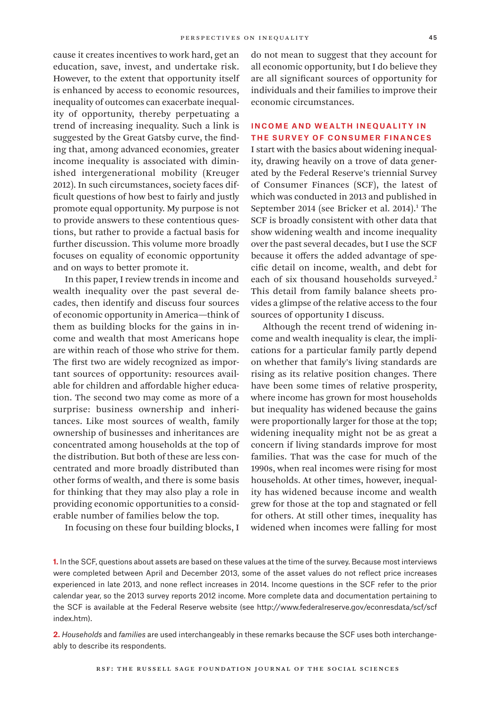cause it creates incentives to work hard, get an education, save, invest, and undertake risk. However, to the extent that opportunity itself is enhanced by access to economic resources, inequality of outcomes can exacerbate inequality of opportunity, thereby perpetuating a trend of increasing inequality. Such a link is suggested by the Great Gatsby curve, the finding that, among advanced economies, greater income inequality is associated with diminished intergenerational mobility (Kreuger 2012). In such circumstances, society faces difficult questions of how best to fairly and justly promote equal opportunity. My purpose is not to provide answers to these contentious questions, but rather to provide a factual basis for further discussion. This volume more broadly focuses on equality of economic opportunity and on ways to better promote it.

In this paper, I review trends in income and wealth inequality over the past several decades, then identify and discuss four sources of economic opportunity in America—think of them as building blocks for the gains in income and wealth that most Americans hope are within reach of those who strive for them. The first two are widely recognized as important sources of opportunity: resources available for children and affordable higher education. The second two may come as more of a surprise: business ownership and inheritances. Like most sources of wealth, family ownership of businesses and inheritances are concentrated among households at the top of the distribution. But both of these are less concentrated and more broadly distributed than other forms of wealth, and there is some basis for thinking that they may also play a role in providing economic opportunities to a considerable number of families below the top.

In focusing on these four building blocks, I

do not mean to suggest that they account for all economic opportunity, but I do believe they are all significant sources of opportunity for individuals and their families to improve their economic circumstances.

# Income and Wealth Inequality in the Survey of Consumer Finances

I start with the basics about widening inequality, drawing heavily on a trove of data generated by the Federal Reserve's triennial Survey of Consumer Finances (SCF), the latest of which was conducted in 2013 and published in September 2014 (see Bricker et al. 2014).<sup>1</sup> The SCF is broadly consistent with other data that show widening wealth and income inequality over the past several decades, but I use the SCF because it offers the added advantage of specific detail on income, wealth, and debt for each of six thousand households surveyed.<sup>2</sup> This detail from family balance sheets provides a glimpse of the relative access to the four sources of opportunity I discuss.

Although the recent trend of widening income and wealth inequality is clear, the implications for a particular family partly depend on whether that family's living standards are rising as its relative position changes. There have been some times of relative prosperity, where income has grown for most households but inequality has widened because the gains were proportionally larger for those at the top; widening inequality might not be as great a concern if living standards improve for most families. That was the case for much of the 1990s, when real incomes were rising for most households. At other times, however, inequality has widened because income and wealth grew for those at the top and stagnated or fell for others. At still other times, inequality has widened when incomes were falling for most

**1.** In the SCF, questions about assets are based on these values at the time of the survey. Because most interviews were completed between April and December 2013, some of the asset values do not reflect price increases experienced in late 2013, and none reflect increases in 2014. Income questions in the SCF refer to the prior calendar year, so the 2013 survey reports 2012 income. More complete data and documentation pertaining to the SCF is available at the Federal Reserve website (see [http://www.federalreserve.gov/econresdata/scf/scf](http://www.federalreserve.gov/econresdata/scf/scfindex.htm) [index.htm](http://www.federalreserve.gov/econresdata/scf/scfindex.htm)).

**2.** *Households* and *families* are used interchangeably in these remarks because the SCF uses both interchangeably to describe its respondents.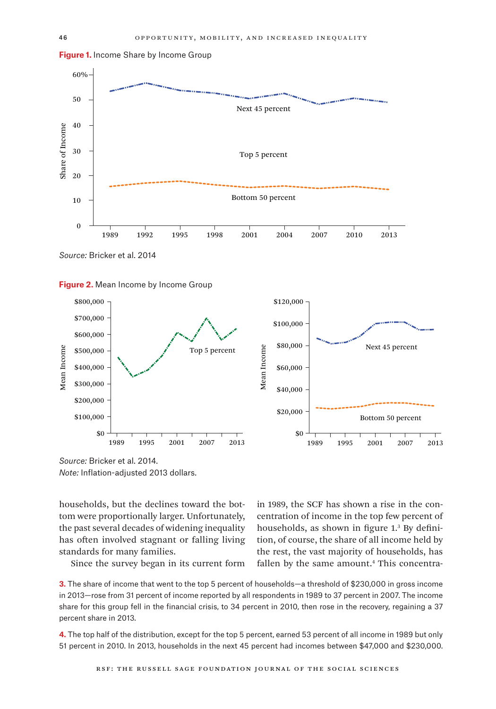



**Figure 1.** Income Share by Income Group

*Source:* Bricker et al. 2014





*Source:* Bricker et al. 2014. *Note:* Inflation-adjusted 2013 dollars.

households, but the declines toward the bottom were proportionally larger. Unfortunately, the past several decades of widening inequality has often involved stagnant or falling living standards for many families.

Since the survey began in its current form

in 1989, the SCF has shown a rise in the concentration of income in the top few percent of households, as shown in figure 1.<sup>3</sup> By definition, of course, the share of all income held by the rest, the vast majority of households, has fallen by the same amount.<sup>4</sup> This concentra-

**3.** The share of income that went to the top 5 percent of households—a threshold of \$230,000 in gross income in 2013—rose from 31 percent of income reported by all respondents in 1989 to 37 percent in 2007. The income share for this group fell in the financial crisis, to 34 percent in 2010, then rose in the recovery, regaining a 37 percent share in 2013.

**4.** The top half of the distribution, except for the top 5 percent, earned 53 percent of all income in 1989 but only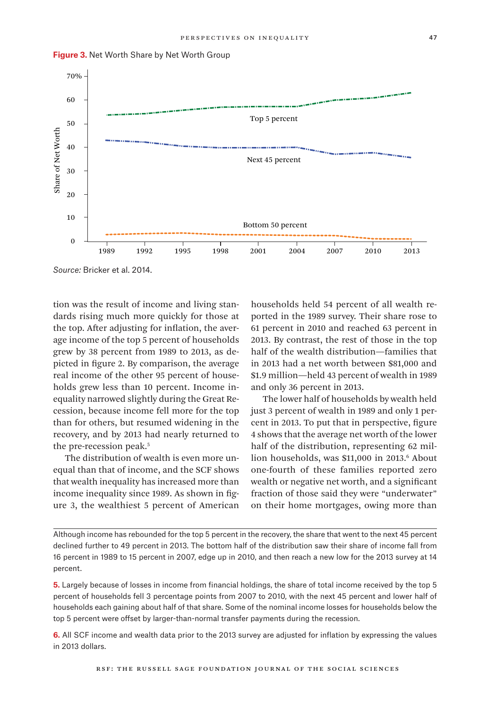

**Figure 3.** Net Worth Share by Net Worth Group

*Source:* Bricker et al. 2014.

tion was the result of income and living standards rising much more quickly for those at the top. After adjusting for inflation, the average income of the top 5 percent of households grew by 38 percent from 1989 to 2013, as depicted in figure 2. By comparison, the average real income of the other 95 percent of households grew less than 10 percent. Income inequality narrowed slightly during the Great Recession, because income fell more for the top than for others, but resumed widening in the recovery, and by 2013 had nearly returned to the pre-recession peak.<sup>5</sup>

The distribution of wealth is even more unequal than that of income, and the SCF shows that wealth inequality has increased more than income inequality since 1989. As shown in figure 3, the wealthiest 5 percent of American households held 54 percent of all wealth reported in the 1989 survey. Their share rose to 61 percent in 2010 and reached 63 percent in 2013. By contrast, the rest of those in the top half of the wealth distribution—families that in 2013 had a net worth between \$81,000 and \$1.9 million—held 43 percent of wealth in 1989 and only 36 percent in 2013.

The lower half of households by wealth held just 3 percent of wealth in 1989 and only 1 percent in 2013. To put that in perspective, figure 4 shows that the average net worth of the lower half of the distribution, representing 62 million households, was \$11,000 in 2013.<sup>6</sup> About one-fourth of these families reported zero wealth or negative net worth, and a significant fraction of those said they were "underwater" on their home mortgages, owing more than

Although income has rebounded for the top 5 percent in the recovery, the share that went to the next 45 percent declined further to 49 percent in 2013. The bottom half of the distribution saw their share of income fall from 16 percent in 1989 to 15 percent in 2007, edge up in 2010, and then reach a new low for the 2013 survey at 14 percent.

**5.** Largely because of losses in income from financial holdings, the share of total income received by the top 5 percent of households fell 3 percentage points from 2007 to 2010, with the next 45 percent and lower half of households each gaining about half of that share. Some of the nominal income losses for households below the top 5 percent were offset by larger-than-normal transfer payments during the recession.

**6.** All SCF income and wealth data prior to the 2013 survey are adjusted for inflation by expressing the values in 2013 dollars.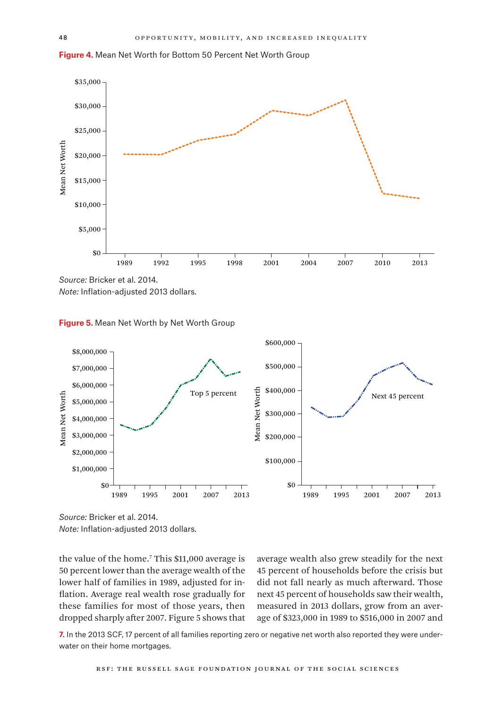



*Source:* Bricker et al. 2014. *Note:* Inflation-adjusted 2013 dollars.





*Source:* Bricker et al. 2014. *Note:* Inflation-adjusted 2013 dollars.

the value of the home.<sup>7</sup> This \$11,000 average is 50 percent lower than the average wealth of the lower half of families in 1989, adjusted for inflation. Average real wealth rose gradually for these families for most of those years, then dropped sharply after 2007. Figure 5 shows that

average wealth also grew steadily for the next 45 percent of households before the crisis but did not fall nearly as much afterward. Those next 45 percent of households saw their wealth, measured in 2013 dollars, grow from an average of \$323,000 in 1989 to \$516,000 in 2007 and

**7.** In the 2013 SCF, 17 percent of all families reporting zero or negative net worth also reported they were underwater on their home mortgages.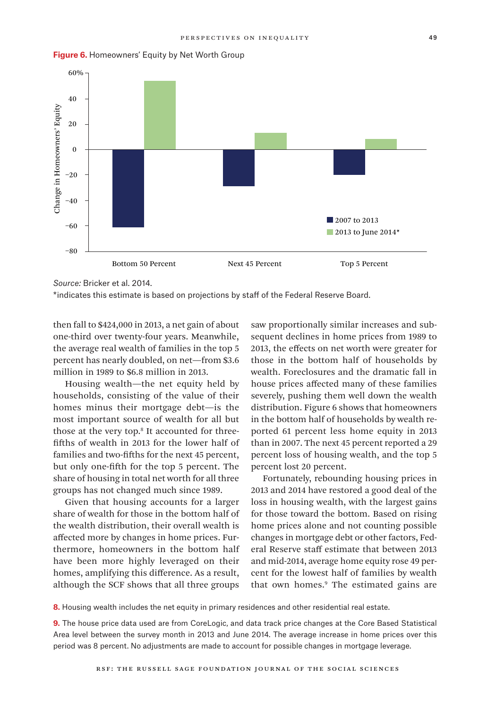

#### **Figure 6.** Homeowners' Equity by Net Worth Group

\*indicates this estimate is based on projections by staff of the Federal Reserve Board.

then fall to \$424,000 in 2013, a net gain of about one-third over twenty-four years. Meanwhile, the average real wealth of families in the top 5 percent has nearly doubled, on net—from \$3.6 million in 1989 to \$6.8 million in 2013.

Housing wealth—the net equity held by households, consisting of the value of their homes minus their mortgage debt—is the most important source of wealth for all but those at the very top.<sup>8</sup> It accounted for threefifths of wealth in 2013 for the lower half of families and two-fifths for the next 45 percent, but only one-fifth for the top 5 percent. The share of housing in total net worth for all three groups has not changed much since 1989.

Given that housing accounts for a larger share of wealth for those in the bottom half of the wealth distribution, their overall wealth is affected more by changes in home prices. Furthermore, homeowners in the bottom half have been more highly leveraged on their homes, amplifying this difference. As a result, although the SCF shows that all three groups

saw proportionally similar increases and subsequent declines in home prices from 1989 to 2013, the effects on net worth were greater for those in the bottom half of households by wealth. Foreclosures and the dramatic fall in house prices affected many of these families severely, pushing them well down the wealth distribution. Figure 6 shows that homeowners in the bottom half of households by wealth reported 61 percent less home equity in 2013 than in 2007. The next 45 percent reported a 29 percent loss of housing wealth, and the top 5 percent lost 20 percent.

Fortunately, rebounding housing prices in 2013 and 2014 have restored a good deal of the loss in housing wealth, with the largest gains for those toward the bottom. Based on rising home prices alone and not counting possible changes in mortgage debt or other factors, Federal Reserve staff estimate that between 2013 and mid-2014, average home equity rose 49 percent for the lowest half of families by wealth that own homes.9 The estimated gains are

**8.** Housing wealth includes the net equity in primary residences and other residential real estate.

**9.** The house price data used are from CoreLogic, and data track price changes at the Core Based Statistical Area level between the survey month in 2013 and June 2014. The average increase in home prices over this period was 8 percent. No adjustments are made to account for possible changes in mortgage leverage.

*Source:* Bricker et al. 2014.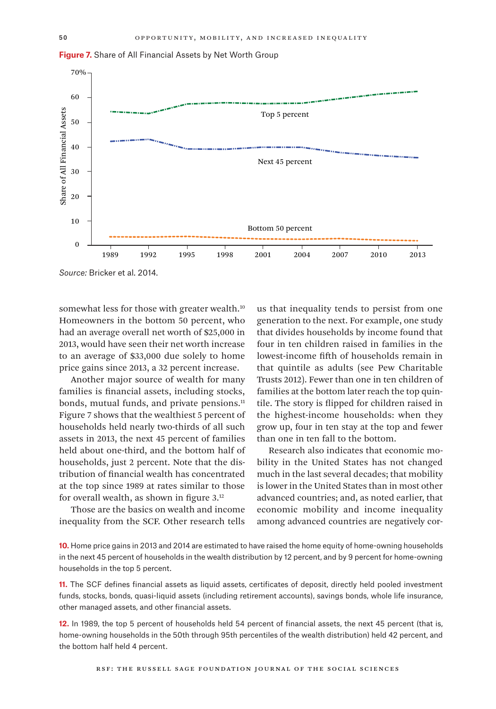**Figure 7.** Share of All Financial Assets by Net Worth Group



*Source:* Bricker et al. 2014.

somewhat less for those with greater wealth.<sup>10</sup> Homeowners in the bottom 50 percent, who had an average overall net worth of \$25,000 in 2013, would have seen their net worth increase to an average of \$33,000 due solely to home price gains since 2013, a 32 percent increase.

Another major source of wealth for many families is financial assets, including stocks, bonds, mutual funds, and private pensions.<sup>11</sup> Figure 7 shows that the wealthiest 5 percent of households held nearly two-thirds of all such assets in 2013, the next 45 percent of families held about one-third, and the bottom half of households, just 2 percent. Note that the distribution of financial wealth has concentrated at the top since 1989 at rates similar to those for overall wealth, as shown in figure 3.12

Those are the basics on wealth and income inequality from the SCF. Other research tells

us that inequality tends to persist from one generation to the next. For example, one study that divides households by income found that four in ten children raised in families in the lowest-income fifth of households remain in that quintile as adults (see Pew Charitable Trusts 2012). Fewer than one in ten children of families at the bottom later reach the top quintile. The story is flipped for children raised in the highest-income households: when they grow up, four in ten stay at the top and fewer than one in ten fall to the bottom.

Research also indicates that economic mobility in the United States has not changed much in the last several decades; that mobility is lower in the United States than in most other advanced countries; and, as noted earlier, that economic mobility and income inequality among advanced countries are negatively cor-

**10.** Home price gains in 2013 and 2014 are estimated to have raised the home equity of home-owning households in the next 45 percent of households in the wealth distribution by 12 percent, and by 9 percent for home-owning households in the top 5 percent.

**11.** The SCF defines financial assets as liquid assets, certificates of deposit, directly held pooled investment funds, stocks, bonds, quasi-liquid assets (including retirement accounts), savings bonds, whole life insurance, other managed assets, and other financial assets.

**12.** In 1989, the top 5 percent of households held 54 percent of financial assets, the next 45 percent (that is, home-owning households in the 50th through 95th percentiles of the wealth distribution) held 42 percent, and the bottom half held 4 percent.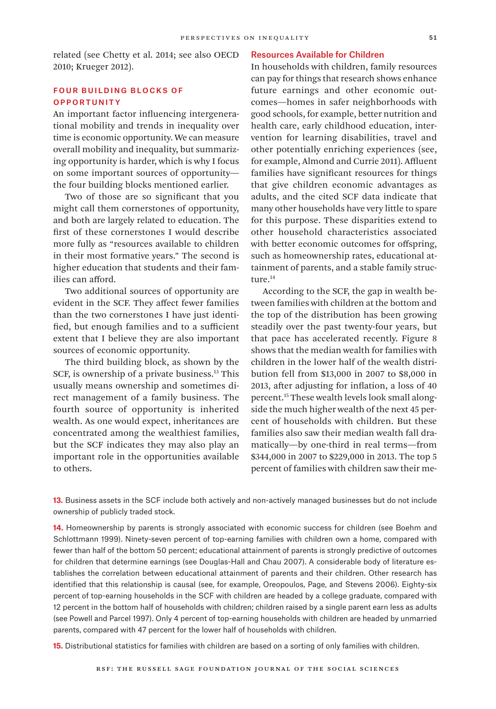related (see Chetty et al. 2014; see also OECD 2010; Krueger 2012).

# Four Building Blocks of **OPPORTUNITY**

An important factor influencing intergenerational mobility and trends in inequality over time is economic opportunity. We can measure overall mobility and inequality, but summarizing opportunity is harder, which is why I focus on some important sources of opportunity the four building blocks mentioned earlier.

Two of those are so significant that you might call them cornerstones of opportunity, and both are largely related to education. The first of these cornerstones I would describe more fully as "resources available to children in their most formative years." The second is higher education that students and their families can afford.

Two additional sources of opportunity are evident in the SCF. They affect fewer families than the two cornerstones I have just identified, but enough families and to a sufficient extent that I believe they are also important sources of economic opportunity.

The third building block, as shown by the SCF, is ownership of a private business.<sup>13</sup> This usually means ownership and sometimes direct management of a family business. The fourth source of opportunity is inherited wealth. As one would expect, inheritances are concentrated among the wealthiest families, but the SCF indicates they may also play an important role in the opportunities available to others.

# Resources Available for Children

In households with children, family resources can pay for things that research shows enhance future earnings and other economic outcomes—homes in safer neighborhoods with good schools, for example, better nutrition and health care, early childhood education, intervention for learning disabilities, travel and other potentially enriching experiences (see, for example, Almond and Currie 2011). Affluent families have significant resources for things that give children economic advantages as adults, and the cited SCF data indicate that many other households have very little to spare for this purpose. These disparities extend to other household characteristics associated with better economic outcomes for offspring, such as homeownership rates, educational attainment of parents, and a stable family structure.<sup>14</sup>

According to the SCF, the gap in wealth between families with children at the bottom and the top of the distribution has been growing steadily over the past twenty-four years, but that pace has accelerated recently. Figure 8 shows that the median wealth for families with children in the lower half of the wealth distribution fell from \$13,000 in 2007 to \$8,000 in 2013, after adjusting for inflation, a loss of 40 percent.15 These wealth levels look small alongside the much higher wealth of the next 45 percent of households with children. But these families also saw their median wealth fall dramatically—by one-third in real terms—from \$344,000 in 2007 to \$229,000 in 2013. The top 5 percent of families with children saw their me-

13. Business assets in the SCF include both actively and non-actively managed businesses but do not include ownership of publicly traded stock.

**14.** Homeownership by parents is strongly associated with economic success for children (see Boehm and Schlottmann 1999). Ninety-seven percent of top-earning families with children own a home, compared with fewer than half of the bottom 50 percent; educational attainment of parents is strongly predictive of outcomes for children that determine earnings (see Douglas-Hall and Chau 2007). A considerable body of literature establishes the correlation between educational attainment of parents and their children. Other research has identified that this relationship is causal (see, for example, Oreopoulos, Page, and Stevens 2006). Eighty-six percent of top-earning households in the SCF with children are headed by a college graduate, compared with 12 percent in the bottom half of households with children; children raised by a single parent earn less as adults (see Powell and Parcel 1997). Only 4 percent of top-earning households with children are headed by unmarried parents, compared with 47 percent for the lower half of households with children.

**15.** Distributional statistics for families with children are based on a sorting of only families with children.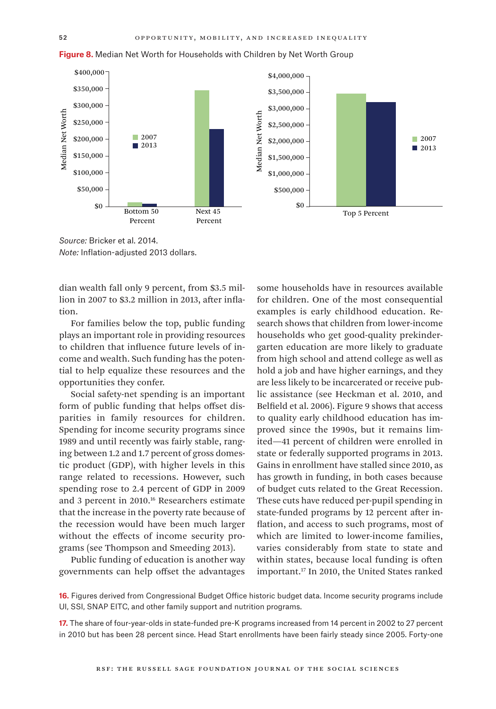

**Figure 8.** Median Net Worth for Households with Children by Net Worth Group

*Source:* Bricker et al. 2014. *Note:* Inflation-adjusted 2013 dollars.

dian wealth fall only 9 percent, from \$3.5 million in 2007 to \$3.2 million in 2013, after inflation.

For families below the top, public funding plays an important role in providing resources to children that influence future levels of income and wealth. Such funding has the potential to help equalize these resources and the opportunities they confer.

Social safety-net spending is an important form of public funding that helps offset disparities in family resources for children. Spending for income security programs since 1989 and until recently was fairly stable, ranging between 1.2 and 1.7 percent of gross domestic product (GDP), with higher levels in this range related to recessions. However, such spending rose to 2.4 percent of GDP in 2009 and 3 percent in 2010.16 Researchers estimate that the increase in the poverty rate because of the recession would have been much larger without the effects of income security programs (see Thompson and Smeeding 2013).

Public funding of education is another way governments can help offset the advantages

some households have in resources available for children. One of the most consequential examples is early childhood education. Research shows that children from lower-income households who get good-quality prekindergarten education are more likely to graduate from high school and attend college as well as hold a job and have higher earnings, and they are less likely to be incarcerated or receive public assistance (see Heckman et al. 2010, and Belfield et al. 2006). Figure 9 shows that access to quality early childhood education has improved since the 1990s, but it remains limited—41 percent of children were enrolled in state or federally supported programs in 2013. Gains in enrollment have stalled since 2010, as has growth in funding, in both cases because of budget cuts related to the Great Recession. These cuts have reduced per-pupil spending in state-funded programs by 12 percent after inflation, and access to such programs, most of which are limited to lower-income families, varies considerably from state to state and within states, because local funding is often important.17 In 2010, the United States ranked

■ 2007 ■ 2013

**16.** Figures derived from Congressional Budget Office historic budget data. Income security programs include UI, SSI, SNAP EITC, and other family support and nutrition programs.

**17.** The share of four-year-olds in state-funded pre-K programs increased from 14 percent in 2002 to 27 percent in 2010 but has been 28 percent since. Head Start enrollments have been fairly steady since 2005. Forty-one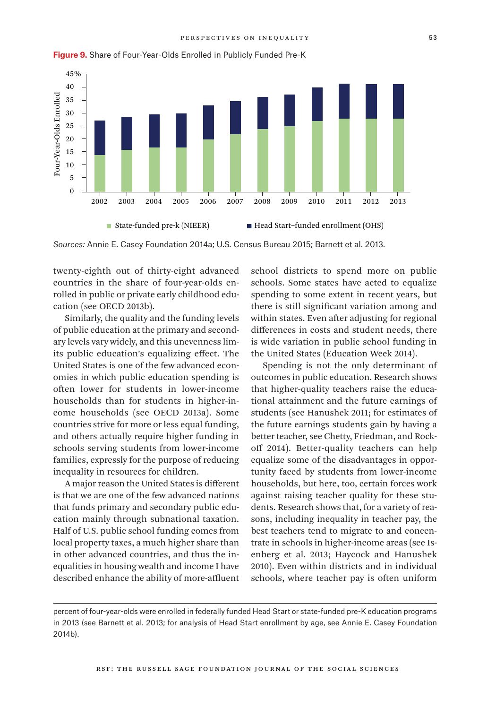

**Figure 9.** Share of Four-Year-Olds Enrolled in Publicly Funded Pre-K

*Sources:* Annie E. Casey Foundation 2014a; U.S. Census Bureau 2015; Barnett et al. 2013.

twenty-eighth out of thirty-eight advanced countries in the share of four-year-olds enrolled in public or private early childhood education (see OECD 2013b).

Similarly, the quality and the funding levels of public education at the primary and secondary levels vary widely, and this unevenness limits public education's equalizing effect. The United States is one of the few advanced economies in which public education spending is often lower for students in lower-income households than for students in higher-income households (see OECD 2013a). Some countries strive for more or less equal funding, and others actually require higher funding in schools serving students from lower-income families, expressly for the purpose of reducing inequality in resources for children.

A major reason the United States is different is that we are one of the few advanced nations that funds primary and secondary public education mainly through subnational taxation. Half of U.S. public school funding comes from local property taxes, a much higher share than in other advanced countries, and thus the inequalities in housing wealth and income I have described enhance the ability of more-affluent

school districts to spend more on public schools. Some states have acted to equalize spending to some extent in recent years, but there is still significant variation among and within states. Even after adjusting for regional differences in costs and student needs, there is wide variation in public school funding in the United States (Education Week 2014).

Spending is not the only determinant of outcomes in public education. Research shows that higher-quality teachers raise the educational attainment and the future earnings of students (see Hanushek 2011; for estimates of the future earnings students gain by having a better teacher, see Chetty, Friedman, and Rockoff 2014). Better-quality teachers can help equalize some of the disadvantages in opportunity faced by students from lower-income households, but here, too, certain forces work against raising teacher quality for these students. Research shows that, for a variety of reasons, including inequality in teacher pay, the best teachers tend to migrate to and concentrate in schools in higher-income areas (see Isenberg et al. 2013; Haycock and Hanushek 2010). Even within districts and in individual schools, where teacher pay is often uniform

percent of four-year-olds were enrolled in federally funded Head Start or state-funded pre-K education programs in 2013 (see Barnett et al. 2013; for analysis of Head Start enrollment by age, see Annie E. Casey Foundation 2014b).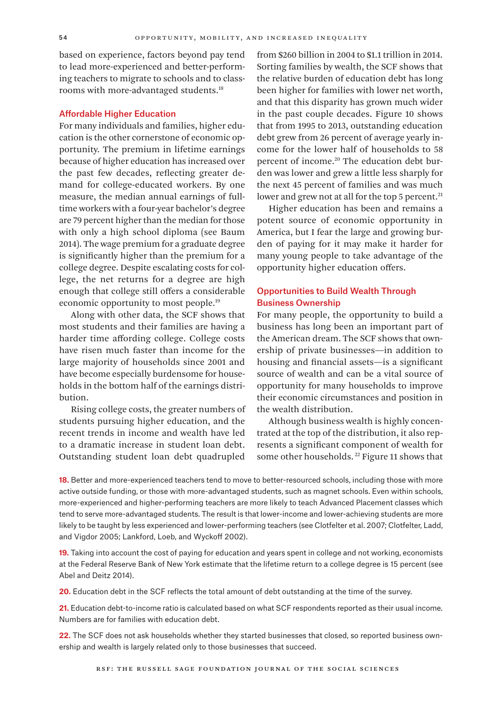based on experience, factors beyond pay tend to lead more-experienced and better-performing teachers to migrate to schools and to classrooms with more-advantaged students.<sup>18</sup>

# Affordable Higher Education

For many individuals and families, higher education is the other cornerstone of economic opportunity. The premium in lifetime earnings because of higher education has increased over the past few decades, reflecting greater demand for college-educated workers. By one measure, the median annual earnings of fulltime workers with a four-year bachelor's degree are 79 percent higher than the median for those with only a high school diploma (see Baum 2014). The wage premium for a graduate degree is significantly higher than the premium for a college degree. Despite escalating costs for college, the net returns for a degree are high enough that college still offers a considerable economic opportunity to most people.19

Along with other data, the SCF shows that most students and their families are having a harder time affording college. College costs have risen much faster than income for the large majority of households since 2001 and have become especially burdensome for households in the bottom half of the earnings distribution.

Rising college costs, the greater numbers of students pursuing higher education, and the recent trends in income and wealth have led to a dramatic increase in student loan debt. Outstanding student loan debt quadrupled

from \$260 billion in 2004 to \$1.1 trillion in 2014. Sorting families by wealth, the SCF shows that the relative burden of education debt has long been higher for families with lower net worth, and that this disparity has grown much wider in the past couple decades. Figure 10 shows that from 1995 to 2013, outstanding education debt grew from 26 percent of average yearly income for the lower half of households to 58 percent of income.<sup>20</sup> The education debt burden was lower and grew a little less sharply for the next 45 percent of families and was much lower and grew not at all for the top 5 percent.<sup>21</sup>

Higher education has been and remains a potent source of economic opportunity in America, but I fear the large and growing burden of paying for it may make it harder for many young people to take advantage of the opportunity higher education offers.

# Opportunities to Build Wealth Through Business Ownership

For many people, the opportunity to build a business has long been an important part of the American dream. The SCF shows that ownership of private businesses—in addition to housing and financial assets—is a significant source of wealth and can be a vital source of opportunity for many households to improve their economic circumstances and position in the wealth distribution.

Although business wealth is highly concentrated at the top of the distribution, it also represents a significant component of wealth for some other households.<sup>22</sup> Figure 11 shows that

**18.** Better and more-experienced teachers tend to move to better-resourced schools, including those with more active outside funding, or those with more-advantaged students, such as magnet schools. Even within schools, more-experienced and higher-performing teachers are more likely to teach Advanced Placement classes which tend to serve more-advantaged students. The result is that lower-income and lower-achieving students are more likely to be taught by less experienced and lower-performing teachers (see Clotfelter et al. 2007; Clotfelter, Ladd, and Vigdor 2005; Lankford, Loeb, and Wyckoff 2002).

**19.** Taking into account the cost of paying for education and years spent in college and not working, economists at the Federal Reserve Bank of New York estimate that the lifetime return to a college degree is 15 percent (see Abel and Deitz 2014).

**20.** Education debt in the SCF reflects the total amount of debt outstanding at the time of the survey.

**21.** Education debt-to-income ratio is calculated based on what SCF respondents reported as their usual income. Numbers are for families with education debt.

**22.** The SCF does not ask households whether they started businesses that closed, so reported business ownership and wealth is largely related only to those businesses that succeed.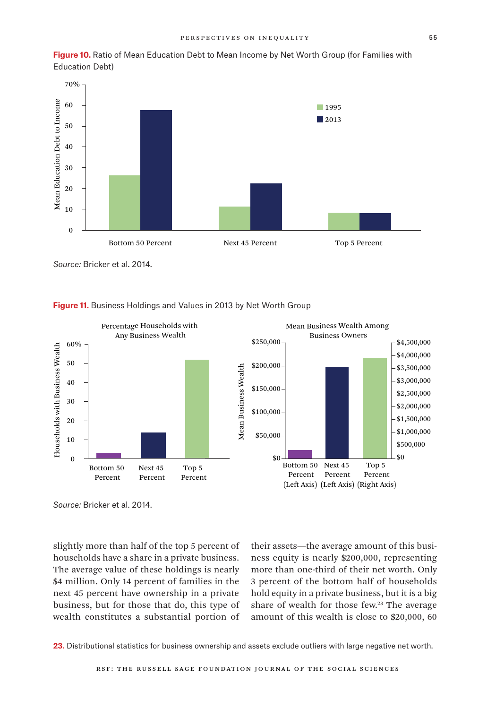**Figure 10.** Ratio of Mean Education Debt to Mean Income by Net Worth Group (for Families with Education Debt)



*Source:* Bricker et al. 2014.



## **Figure 11.** Business Holdings and Values in 2013 by Net Worth Group

*Source:* Bricker et al. 2014.

slightly more than half of the top 5 percent of households have a share in a private business. The average value of these holdings is nearly \$4 million. Only 14 percent of families in the next 45 percent have ownership in a private business, but for those that do, this type of wealth constitutes a substantial portion of

their assets—the average amount of this business equity is nearly \$200,000, representing more than one-third of their net worth. Only 3 percent of the bottom half of households hold equity in a private business, but it is a big share of wealth for those few.<sup>23</sup> The average amount of this wealth is close to \$20,000, 60

**23.** Distributional statistics for business ownership and assets exclude outliers with large negative net worth.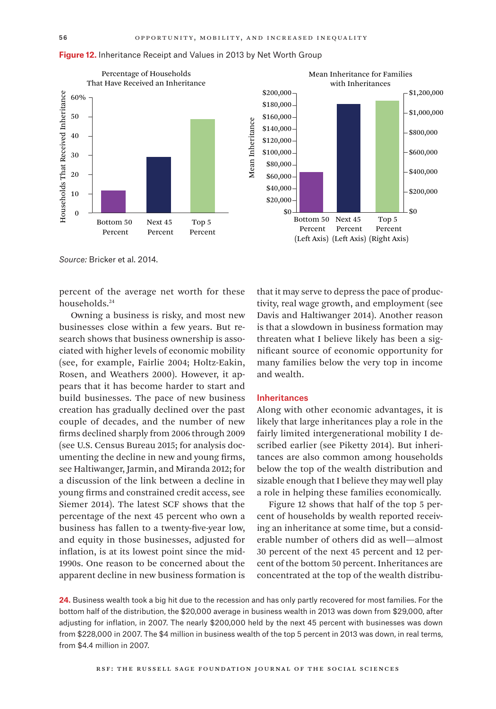

#### **Figure 12.** Inheritance Receipt and Values in 2013 by Net Worth Group

*Source:* Bricker et al. 2014.

percent of the average net worth for these households.24

Owning a business is risky, and most new businesses close within a few years. But research shows that business ownership is associated with higher levels of economic mobility (see, for example, Fairlie 2004; Holtz-Eakin, Rosen, and Weathers 2000). However, it appears that it has become harder to start and build businesses. The pace of new business creation has gradually declined over the past couple of decades, and the number of new firms declined sharply from 2006 through 2009 (see U.S. Census Bureau 2015; for analysis documenting the decline in new and young firms, see Haltiwanger, Jarmin, and Miranda 2012; for a discussion of the link between a decline in young firms and constrained credit access, see Siemer 2014). The latest SCF shows that the percentage of the next 45 percent who own a business has fallen to a twenty-five-year low, and equity in those businesses, adjusted for inflation, is at its lowest point since the mid-1990s. One reason to be concerned about the apparent decline in new business formation is



that it may serve to depress the pace of productivity, real wage growth, and employment (see Davis and Haltiwanger 2014). Another reason is that a slowdown in business formation may threaten what I believe likely has been a significant source of economic opportunity for many families below the very top in income and wealth.

# Inheritances

Along with other economic advantages, it is likely that large inheritances play a role in the fairly limited intergenerational mobility I described earlier (see Piketty 2014). But inheritances are also common among households below the top of the wealth distribution and sizable enough that I believe they may well play a role in helping these families economically.

Figure 12 shows that half of the top 5 percent of households by wealth reported receiving an inheritance at some time, but a considerable number of others did as well—almost 30 percent of the next 45 percent and 12 percent of the bottom 50 percent. Inheritances are concentrated at the top of the wealth distribu-

**24.** Business wealth took a big hit due to the recession and has only partly recovered for most families. For the bottom half of the distribution, the \$20,000 average in business wealth in 2013 was down from \$29,000, after adjusting for inflation, in 2007. The nearly \$200,000 held by the next 45 percent with businesses was down from \$228,000 in 2007. The \$4 million in business wealth of the top 5 percent in 2013 was down, in real terms, from \$4.4 million in 2007.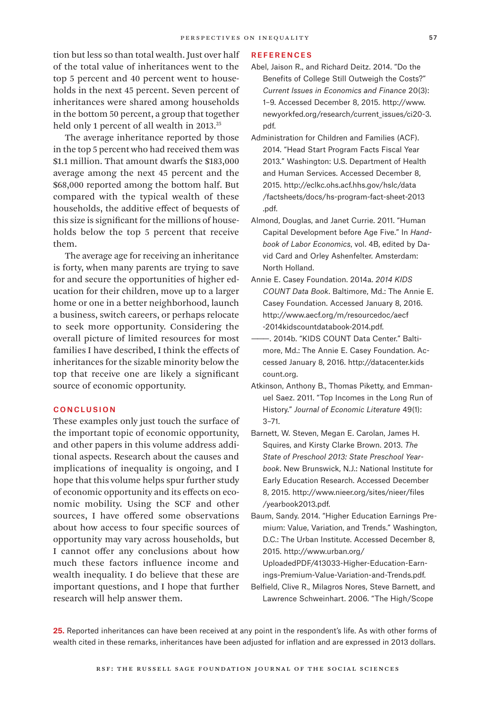tion but less so than total wealth. Just over half of the total value of inheritances went to the top 5 percent and 40 percent went to households in the next 45 percent. Seven percent of inheritances were shared among households in the bottom 50 percent, a group that together held only 1 percent of all wealth in 2013.<sup>25</sup>

The average inheritance reported by those in the top 5 percent who had received them was \$1.1 million. That amount dwarfs the \$183,000 average among the next 45 percent and the \$68,000 reported among the bottom half. But compared with the typical wealth of these households, the additive effect of bequests of this size is significant for the millions of households below the top 5 percent that receive them.

The average age for receiving an inheritance is forty, when many parents are trying to save for and secure the opportunities of higher education for their children, move up to a larger home or one in a better neighborhood, launch a business, switch careers, or perhaps relocate to seek more opportunity. Considering the overall picture of limited resources for most families I have described, I think the effects of inheritances for the sizable minority below the top that receive one are likely a significant source of economic opportunity.

# **CONCLUSION**

These examples only just touch the surface of the important topic of economic opportunity, and other papers in this volume address additional aspects. Research about the causes and implications of inequality is ongoing, and I hope that this volume helps spur further study of economic opportunity and its effects on economic mobility. Using the SCF and other sources, I have offered some observations about how access to four specific sources of opportunity may vary across households, but I cannot offer any conclusions about how much these factors influence income and wealth inequality. I do believe that these are important questions, and I hope that further research will help answer them.

### **REFERENCES**

- Abel, Jaison R., and Richard Deitz. 2014. "Do the Benefits of College Still Outweigh the Costs?" *Current Issues in Economics and Finance* 20(3): 1–9. Accessed December 8, 2015. [http://www.](http://www.newyorkfed.org/research/current_issues/ci20-3.pdf.) [newyorkfed.org/research/current\\_issues/ci20-3.](http://www.newyorkfed.org/research/current_issues/ci20-3.pdf.) [pdf.](http://www.newyorkfed.org/research/current_issues/ci20-3.pdf.)
- Administration for Children and Families (ACF). 2014. "Head Start Program Facts Fiscal Year 2013." Washington: U.S. Department of Health and Human Services. Accessed December 8, 2015. [http://eclkc.ohs.acf.hhs.gov/hslc/data](http://eclkc.ohs.acf.hhs.gov/hslc/data/factsheets/docs/hs-program-fact-sheet-2013.pdf)  [/factsheets/docs/hs-program-fact-sheet-2013](http://eclkc.ohs.acf.hhs.gov/hslc/data/factsheets/docs/hs-program-fact-sheet-2013.pdf)  [.pdf.](http://eclkc.ohs.acf.hhs.gov/hslc/data/factsheets/docs/hs-program-fact-sheet-2013.pdf)
- Almond, Douglas, and Janet Currie. 2011. "Human Capital Development before Age Five." In *Handbook of Labor Economics*, vol. 4B, edited by David Card and Orley Ashenfelter. Amsterdam: North Holland.
- Annie E. Casey Foundation. 2014a. *2014 KIDS COUNT Data Book*. Baltimore, Md.: The Annie E. Casey Foundation. Accessed January 8, 2016. [http://www.aecf.org/m/resourcedoc/aecf](http://www.aecf.org/m/resourcedoc/aecf-2014kidscountdatabook-2014.pdf)  [-2014kidscountdatabook-2014.pdf.](http://www.aecf.org/m/resourcedoc/aecf-2014kidscountdatabook-2014.pdf)
- ———. 2014b. "KIDS COUNT Data Center." Baltimore, Md.: The Annie E. Casey Foundation. Accessed January 8, 2016. [http://datacenter.kids](http://datacenter.kidscount.org)  [count.org.](http://datacenter.kidscount.org)
- Atkinson, Anthony B., Thomas Piketty, and Emmanuel Saez. 2011. "Top Incomes in the Long Run of History." *Journal of Economic Literature* 49(1): 3–71.
- Barnett, W. Steven, Megan E. Carolan, James H. Squires, and Kirsty Clarke Brown. 2013. *The State of Preschool 2013: State Preschool Yearbook*. New Brunswick, N.J.: National Institute for Early Education Research. Accessed December 8, 2015. [http://www.nieer.org/sites/nieer/files](http://www.nieer.org/sites/nieer/files/yearbook2013.pdf) [/yearbook2013.pdf.](http://www.nieer.org/sites/nieer/files/yearbook2013.pdf)
- Baum, Sandy. 2014. "Higher Education Earnings Premium: Value, Variation, and Trends." Washington, D.C.: The Urban Institute. Accessed December 8, 2015. [http://www.urban.org/](http://www.urban.org/UploadedPDF/413033-Higher-Education-Earnings-Premium-Value-Variation-and-Trends.pdf) [UploadedPDF/413033-Higher-Education-Earn-](http://www.urban.org/UploadedPDF/413033-Higher-Education-Earnings-Premium-Value-Variation-and-Trends.pdf)

[ings-Premium-Value-Variation-and-Trends.pdf.](http://www.urban.org/UploadedPDF/413033-Higher-Education-Earnings-Premium-Value-Variation-and-Trends.pdf)

Belfield, Clive R., Milagros Nores, Steve Barnett, and Lawrence Schweinhart. 2006. "The High/Scope

**25.** Reported inheritances can have been received at any point in the respondent's life. As with other forms of wealth cited in these remarks, inheritances have been adjusted for inflation and are expressed in 2013 dollars.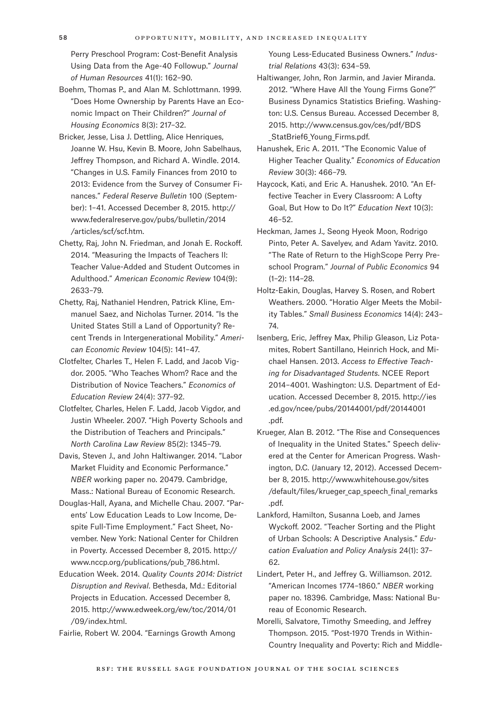Perry Preschool Program: Cost-Benefit Analysis Using Data from the Age-40 Followup." *Journal of Human Resources* 41(1): 162–90.

- Boehm, Thomas P., and Alan M. Schlottmann. 1999. "Does Home Ownership by Parents Have an Economic Impact on Their Children?" *Journal of Housing Economics* 8(3): 217–32.
- Bricker, Jesse, Lisa J. Dettling, Alice Henriques, Joanne W. Hsu, Kevin B. Moore, John Sabelhaus, Jeffrey Thompson, and Richard A. Windle. 2014. "Changes in U.S. Family Finances from 2010 to 2013: Evidence from the Survey of Consumer Finances." *Federal Reserve Bulletin* 100 (September): 1–41. Accessed December 8, 2015. [http://](http://www.federalreserve.gov/pubs/bulletin/2014/articles/scf/scf.htm) [www.federalreserve.gov/pubs/bulletin/2014](http://www.federalreserve.gov/pubs/bulletin/2014/articles/scf/scf.htm)  [/articles/scf/scf.htm.](http://www.federalreserve.gov/pubs/bulletin/2014/articles/scf/scf.htm)
- Chetty, Raj, John N. Friedman, and Jonah E. Rockoff. 2014. "Measuring the Impacts of Teachers II: Teacher Value-Added and Student Outcomes in Adulthood." *American Economic Review* 104(9): 2633–79.
- Chetty, Raj, Nathaniel Hendren, Patrick Kline, Emmanuel Saez, and Nicholas Turner. 2014. "Is the United States Still a Land of Opportunity? Recent Trends in Intergenerational Mobility." *American Economic Review* 104(5): 141–47.
- Clotfelter, Charles T., Helen F. Ladd, and Jacob Vigdor. 2005. "Who Teaches Whom? Race and the Distribution of Novice Teachers." *Economics of Education Review* 24(4): 377–92.
- Clotfelter, Charles, Helen F. Ladd, Jacob Vigdor, and Justin Wheeler. 2007. "High Poverty Schools and the Distribution of Teachers and Principals." *North Carolina Law Review* 85(2): 1345–79.
- Davis, Steven J., and John Haltiwanger. 2014. "Labor Market Fluidity and Economic Performance." *NBER* working paper no. 20479. Cambridge, Mass.: National Bureau of Economic Research.
- Douglas-Hall, Ayana, and Michelle Chau. 2007. "Parents' Low Education Leads to Low Income, Despite Full-Time Employment." Fact Sheet, November. New York: National Center for Children in Poverty. Accessed December 8, 2015. [http://](http://www.nccp.org/publications/pub_786.html) [www.nccp.org/publications/pub\\_786.html.](http://www.nccp.org/publications/pub_786.html)
- Education Week. 2014. *Quality Counts 2014: District Disruption and Revival*. Bethesda, Md.: Editorial Projects in Education. Accessed December 8, 2015. [http://www.edweek.org/ew/toc/2014/01](http://www.edweek.org/ew/toc/2014/01/09/index.html)  [/09/index.html.](http://www.edweek.org/ew/toc/2014/01/09/index.html)

Fairlie, Robert W. 2004. "Earnings Growth Among

Young Less-Educated Business Owners." *Industrial Relations* 43(3): 634–59.

Haltiwanger, John, Ron Jarmin, and Javier Miranda. 2012. "Where Have All the Young Firms Gone?" Business Dynamics Statistics Briefing. Washington: U.S. Census Bureau. Accessed December 8, 2015. [http://www.census.gov/ces/pdf/BDS](http://www.census.gov/ces/pdf/BDS_StatBrief6_Young_Firms.pdf)  StatBrief6 Young Firms.pdf.

Hanushek, Eric A. 2011. "The Economic Value of Higher Teacher Quality." *Economics of Education Review* 30(3): 466–79.

Haycock, Kati, and Eric A. Hanushek. 2010. "An Effective Teacher in Every Classroom: A Lofty Goal, But How to Do It?" *Education Next* 10(3): 46–52.

- Heckman, James J., Seong Hyeok Moon, Rodrigo Pinto, Peter A. Savelyev, and Adam Yavitz. 2010. "The Rate of Return to the HighScope Perry Preschool Program." *Journal of Public Economics* 94 (1–2): 114–28.
- Holtz-Eakin, Douglas, Harvey S. Rosen, and Robert Weathers. 2000. "Horatio Alger Meets the Mobility Tables." *Small Business Economics* 14(4): 243– 74.
- Isenberg, Eric, Jeffrey Max, Philip Gleason, Liz Potamites, Robert Santillano, Heinrich Hock, and Michael Hansen. 2013. *Access to Effective Teaching for Disadvantaged Students*. NCEE Report 2014–4001. Washington: U.S. Department of Education. Accessed December 8, 2015. [http://ies](http://ies.ed.gov/ncee/pubs/20144001/pdf/20144001.pdf)  [.ed.gov/ncee/pubs/20144001/pdf/20144001](http://ies.ed.gov/ncee/pubs/20144001/pdf/20144001.pdf)  [.pdf.](http://ies.ed.gov/ncee/pubs/20144001/pdf/20144001.pdf)
- Krueger, Alan B. 2012. "The Rise and Consequences of Inequality in the United States." Speech delivered at the Center for American Progress. Washington, D.C. (January 12, 2012). Accessed December 8, 2015. [http://www.whitehouse.gov/sites](http://www.whitehouse.gov/sites/default/files/krueger_cap_speech_final_remarks.pdf)  [/default/files/krueger\\_cap\\_speech\\_final\\_remarks](http://www.whitehouse.gov/sites/default/files/krueger_cap_speech_final_remarks.pdf)  [.pdf.](http://www.whitehouse.gov/sites/default/files/krueger_cap_speech_final_remarks.pdf)
- Lankford, Hamilton, Susanna Loeb, and James Wyckoff. 2002. "Teacher Sorting and the Plight of Urban Schools: A Descriptive Analysis." *Education Evaluation and Policy Analysis* 24(1): 37– 62.
- Lindert, Peter H., and Jeffrey G. Williamson. 2012. "American Incomes 1774–1860." *NBER* working paper no. 18396. Cambridge, Mass: National Bureau of Economic Research.
- Morelli, Salvatore, Timothy Smeeding, and Jeffrey Thompson. 2015. "Post-1970 Trends in Within-Country Inequality and Poverty: Rich and Middle-